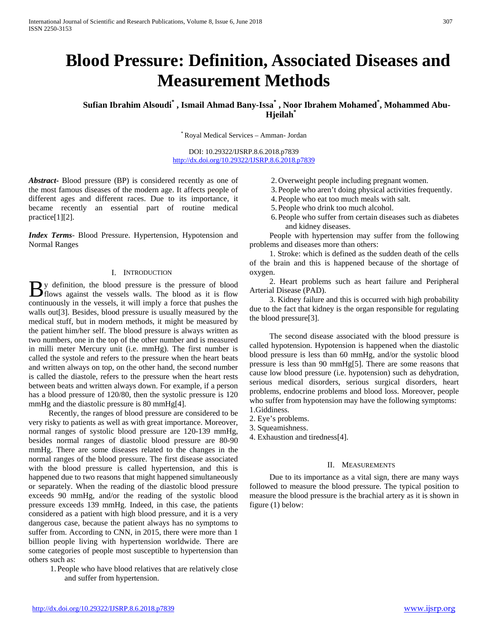# **Blood Pressure: Definition, Associated Diseases and Measurement Methods**

**Sufian Ibrahim Alsoudi\* , Ismail Ahmad Bany-Issa\* , Noor Ibrahem Mohamed\* , Mohammed Abu-Hjeilah\***

\* Royal Medical Services – Amman- Jordan

DOI: 10.29322/IJSRP.8.6.2018.p7839 <http://dx.doi.org/10.29322/IJSRP.8.6.2018.p7839>

*Abstract***-** Blood pressure (BP) is considered recently as one of the most famous diseases of the modern age. It affects people of different ages and different races. Due to its importance, it became recently an essential part of routine medical practice[1][2].

*Index Terms*- Blood Pressure. Hypertension, Hypotension and Normal Ranges

# I. INTRODUCTION

y definition, the blood pressure is the pressure of blood **Here** is the pressure of blood flows against the vessels walls. The blood as it is flow continuously in the vessels, it will imply a force that pushes the walls out[3]. Besides, blood pressure is usually measured by the medical stuff, but in modern methods, it might be measured by the patient him/her self. The blood pressure is always written as two numbers, one in the top of the other number and is measured in milli meter Mercury unit (i.e. mmHg). The first number is called the systole and refers to the pressure when the heart beats and written always on top, on the other hand, the second number is called the diastole, refers to the pressure when the heart rests between beats and written always down. For example, if a person has a blood pressure of 120/80, then the systolic pressure is 120 mmHg and the diastolic pressure is 80 mmHg[4].

 Recently, the ranges of blood pressure are considered to be very risky to patients as well as with great importance. Moreover, normal ranges of systolic blood pressure are 120-139 mmHg, besides normal ranges of diastolic blood pressure are 80-90 mmHg. There are some diseases related to the changes in the normal ranges of the blood pressure. The first disease associated with the blood pressure is called hypertension, and this is happened due to two reasons that might happened simultaneously or separately. When the reading of the diastolic blood pressure exceeds 90 mmHg, and/or the reading of the systolic blood pressure exceeds 139 mmHg. Indeed, in this case, the patients considered as a patient with high blood pressure, and it is a very dangerous case, because the patient always has no symptoms to suffer from. According to CNN, in 2015, there were more than 1 billion people living with hypertension worldwide. There are some categories of people most susceptible to hypertension than others such as:

1. People who have blood relatives that are relatively close and suffer from hypertension.

- 2. Overweight people including pregnant women.
- 3. People who aren't doing physical activities frequently.
- 4. People who eat too much meals with salt.
- 5. People who drink too much alcohol.
- 6. People who suffer from certain diseases such as diabetes and kidney diseases.

 People with hypertension may suffer from the following problems and diseases more than others:

 1. Stroke: which is defined as the sudden death of the cells of the brain and this is happened because of the shortage of oxygen.

 2. Heart problems such as heart failure and Peripheral Arterial Disease (PAD).

 3. Kidney failure and this is occurred with high probability due to the fact that kidney is the organ responsible for regulating the blood pressure[3].

 The second disease associated with the blood pressure is called hypotension. Hypotension is happened when the diastolic blood pressure is less than 60 mmHg, and/or the systolic blood pressure is less than 90 mmHg[5]. There are some reasons that cause low blood pressure (i.e. hypotension) such as dehydration, serious medical disorders, serious surgical disorders, heart problems, endocrine problems and blood loss. Moreover, people who suffer from hypotension may have the following symptoms: 1.Giddiness.

- 2. Eye's problems.
- 3. Squeamishness.
- 4. Exhaustion and tiredness[4].

## II. MEASUREMENTS

 Due to its importance as a vital sign, there are many ways followed to measure the blood pressure. The typical position to measure the blood pressure is the brachial artery as it is shown in figure (1) below: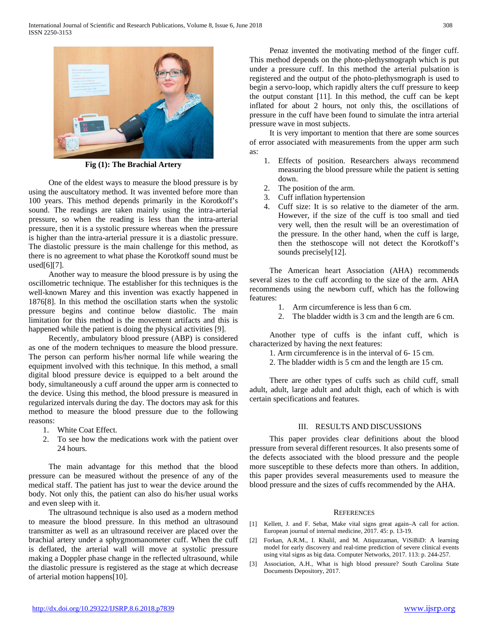

**Fig (1): The Brachial Artery**

 One of the eldest ways to measure the blood pressure is by using the auscultatory method. It was invented before more than 100 years. This method depends primarily in the Korotkoff's sound. The readings are taken mainly using the intra-arterial pressure, so when the reading is less than the intra-arterial pressure, then it is a systolic pressure whereas when the pressure is higher than the intra-arterial pressure it is a diastolic pressure. The diastolic pressure is the main challenge for this method, as there is no agreement to what phase the Korotkoff sound must be used $[6]$ [7].

 Another way to measure the blood pressure is by using the oscillometric technique. The establisher for this techniques is the well-known Marey and this invention was exactly happened in 1876[8]. In this method the oscillation starts when the systolic pressure begins and continue below diastolic. The main limitation for this method is the movement artifacts and this is happened while the patient is doing the physical activities [9].

 Recently, ambulatory blood pressure (ABP) is considered as one of the modern techniques to measure the blood pressure. The person can perform his/her normal life while wearing the equipment involved with this technique. In this method, a small digital blood pressure device is equipped to a belt around the body, simultaneously a cuff around the upper arm is connected to the device. Using this method, the blood pressure is measured in regularized intervals during the day. The doctors may ask for this method to measure the blood pressure due to the following reasons:

- 1. White Coat Effect.
- 2. To see how the medications work with the patient over 24 hours.

 The main advantage for this method that the blood pressure can be measured without the presence of any of the medical staff. The patient has just to wear the device around the body. Not only this, the patient can also do his/her usual works and even sleep with it.

 The ultrasound technique is also used as a modern method to measure the blood pressure. In this method an ultrasound transmitter as well as an ultrasound receiver are placed over the brachial artery under a sphygmomanometer cuff. When the cuff is deflated, the arterial wall will move at systolic pressure making a Doppler phase change in the reflected ultrasound, while the diastolic pressure is registered as the stage at which decrease of arterial motion happens[10].

 Penaz invented the motivating method of the finger cuff. This method depends on the photo-plethysmograph which is put under a pressure cuff. In this method the arterial pulsation is registered and the output of the photo-plethysmograph is used to begin a servo-loop, which rapidly alters the cuff pressure to keep the output constant [11]. In this method, the cuff can be kept inflated for about 2 hours, not only this, the oscillations of pressure in the cuff have been found to simulate the intra arterial pressure wave in most subjects.

 It is very important to mention that there are some sources of error associated with measurements from the upper arm such as:

- 1. Effects of position. Researchers always recommend measuring the blood pressure while the patient is setting down.
- 2. The position of the arm.
- 3. Cuff inflation hypertension
- 4. Cuff size: It is so relative to the diameter of the arm. However, if the size of the cuff is too small and tied very well, then the result will be an overestimation of the pressure. In the other hand, when the cuff is large, then the stethoscope will not detect the Korotkoff's sounds precisely[12].

 The American heart Association (AHA) recommends several sizes to the cuff according to the size of the arm. AHA recommends using the newborn cuff, which has the following features:

- 1. Arm circumference is less than 6 cm.
- 2. The bladder width is 3 cm and the length are 6 cm.

 Another type of cuffs is the infant cuff, which is characterized by having the next features:

- 1. Arm circumference is in the interval of 6- 15 cm.
- 2. The bladder width is 5 cm and the length are 15 cm.

 There are other types of cuffs such as child cuff, small adult, adult, large adult and adult thigh, each of which is with certain specifications and features.

# III. RESULTS AND DISCUSSIONS

 This paper provides clear definitions about the blood pressure from several different resources. It also presents some of the defects associated with the blood pressure and the people more susceptible to these defects more than others. In addition, this paper provides several measurements used to measure the blood pressure and the sizes of cuffs recommended by the AHA.

### **REFERENCES**

- [1] Kellett, J. and F. Sebat, Make vital signs great again–A call for action. European journal of internal medicine, 2017. 45: p. 13-19.
- [2] Forkan, A.R.M., I. Khalil, and M. Atiquzzaman, ViSiBiD: A learning model for early discovery and real-time prediction of severe clinical events using vital signs as big data. Computer Networks, 2017. 113: p. 244-257.
- [3] Association, A.H., What is high blood pressure? South Carolina State Documents Depository, 2017.